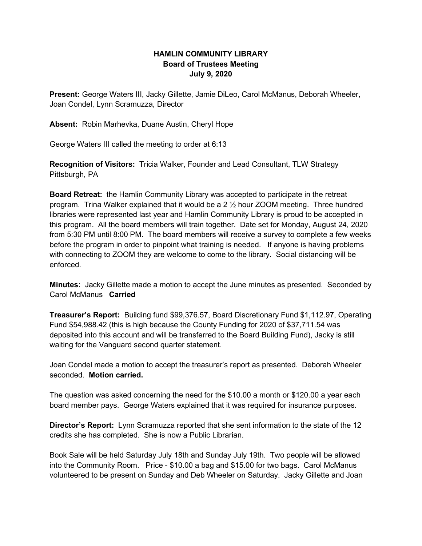## **HAMLIN COMMUNITY LIBRARY Board of Trustees Meeting July 9, 2020**

**Present:** George Waters III, Jacky Gillette, Jamie DiLeo, Carol McManus, Deborah Wheeler, Joan Condel, Lynn Scramuzza, Director

**Absent:** Robin Marhevka, Duane Austin, Cheryl Hope

George Waters III called the meeting to order at 6:13

**Recognition of Visitors:** Tricia Walker, Founder and Lead Consultant, TLW Strategy Pittsburgh, PA

**Board Retreat:** the Hamlin Community Library was accepted to participate in the retreat program. Trina Walker explained that it would be a 2 ½ hour ZOOM meeting. Three hundred libraries were represented last year and Hamlin Community Library is proud to be accepted in this program. All the board members will train together. Date set for Monday, August 24, 2020 from 5:30 PM until 8:00 PM. The board members will receive a survey to complete a few weeks before the program in order to pinpoint what training is needed. If anyone is having problems with connecting to ZOOM they are welcome to come to the library. Social distancing will be enforced.

**Minutes:** Jacky Gillette made a motion to accept the June minutes as presented. Seconded by Carol McManus **Carried**

**Treasurer's Report:** Building fund \$99,376.57, Board Discretionary Fund \$1,112.97, Operating Fund \$54,988.42 (this is high because the County Funding for 2020 of \$37,711.54 was deposited into this account and will be transferred to the Board Building Fund), Jacky is still waiting for the Vanguard second quarter statement.

Joan Condel made a motion to accept the treasurer's report as presented. Deborah Wheeler seconded. **Motion carried.**

The question was asked concerning the need for the \$10.00 a month or \$120.00 a year each board member pays. George Waters explained that it was required for insurance purposes.

**Director's Report:** Lynn Scramuzza reported that she sent information to the state of the 12 credits she has completed. She is now a Public Librarian.

Book Sale will be held Saturday July 18th and Sunday July 19th. Two people will be allowed into the Community Room. Price - \$10.00 a bag and \$15.00 for two bags. Carol McManus volunteered to be present on Sunday and Deb Wheeler on Saturday. Jacky Gillette and Joan